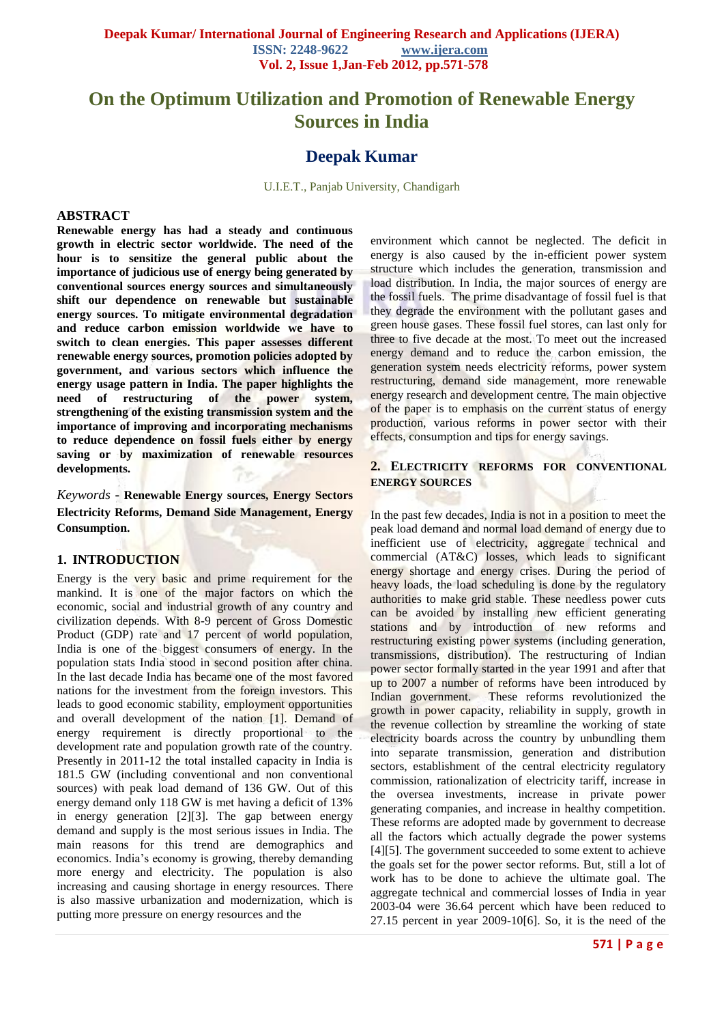# **On the Optimum Utilization and Promotion of Renewable Energy Sources in India**

# **Deepak Kumar**

U.I.E.T., Panjab University, Chandigarh

#### **ABSTRACT**

**Renewable energy has had a steady and continuous growth in electric sector worldwide. The need of the hour is to sensitize the general public about the importance of judicious use of energy being generated by conventional sources energy sources and simultaneously shift our dependence on renewable but sustainable energy sources. To mitigate environmental degradation and reduce carbon emission worldwide we have to switch to clean energies. This paper assesses different renewable energy sources, promotion policies adopted by government, and various sectors which influence the energy usage pattern in India. The paper highlights the need of restructuring of the power system, strengthening of the existing transmission system and the importance of improving and incorporating mechanisms to reduce dependence on fossil fuels either by energy saving or by maximization of renewable resources developments.**

*Keywords* **- Renewable Energy sources, Energy Sectors Electricity Reforms, Demand Side Management, Energy Consumption.**

#### **1. INTRODUCTION**

Energy is the very basic and prime requirement for the mankind. It is one of the major factors on which the economic, social and industrial growth of any country and civilization depends. With 8-9 percent of Gross Domestic Product (GDP) rate and 17 percent of world population, India is one of the biggest consumers of energy. In the population stats India stood in second position after china. In the last decade India has became one of the most favored nations for the investment from the foreign investors. This leads to good economic stability, employment opportunities and overall development of the nation [1]. Demand of energy requirement is directly proportional to the development rate and population growth rate of the country. Presently in 2011-12 the total installed capacity in India is 181.5 GW (including conventional and non conventional sources) with peak load demand of 136 GW. Out of this energy demand only 118 GW is met having a deficit of 13% in energy generation [2][3]. The gap between energy demand and supply is the most serious issues in India. The main reasons for this trend are demographics and economics. India's economy is growing, thereby demanding more energy and electricity. The population is also increasing and causing shortage in energy resources. There is also massive urbanization and modernization, which is putting more pressure on energy resources and the

environment which cannot be neglected. The deficit in energy is also caused by the in-efficient power system structure which includes the generation, transmission and load distribution. In India, the major sources of energy are the fossil fuels. The prime disadvantage of fossil fuel is that they degrade the environment with the pollutant gases and green house gases. These fossil fuel stores, can last only for three to five decade at the most. To meet out the increased energy demand and to reduce the carbon emission, the generation system needs electricity reforms, power system restructuring, demand side management, more renewable energy research and development centre. The main objective of the paper is to emphasis on the current status of energy production, various reforms in power sector with their effects, consumption and tips for energy savings.

#### **2. ELECTRICITY REFORMS FOR CONVENTIONAL ENERGY SOURCES**

In the past few decades, India is not in a position to meet the peak load demand and normal load demand of energy due to inefficient use of electricity, aggregate technical and commercial (AT&C) losses, which leads to significant energy shortage and energy crises. During the period of heavy loads, the load scheduling is done by the regulatory authorities to make grid stable. These needless power cuts can be avoided by installing new efficient generating stations and by introduction of new reforms and restructuring existing power systems (including generation, transmissions, distribution). The restructuring of Indian power sector formally started in the year 1991 and after that up to 2007 a number of reforms have been introduced by Indian government. These reforms revolutionized the growth in power capacity, reliability in supply, growth in the revenue collection by streamline the working of state electricity boards across the country by unbundling them into separate transmission, generation and distribution sectors, establishment of the central electricity regulatory commission, rationalization of electricity tariff, increase in the oversea investments, increase in private power generating companies, and increase in healthy competition. These reforms are adopted made by government to decrease all the factors which actually degrade the power systems [4][5]. The government succeeded to some extent to achieve the goals set for the power sector reforms. But, still a lot of work has to be done to achieve the ultimate goal. The aggregate technical and commercial losses of India in year 2003-04 were 36.64 percent which have been reduced to 27.15 percent in year 2009-10[6]. So, it is the need of the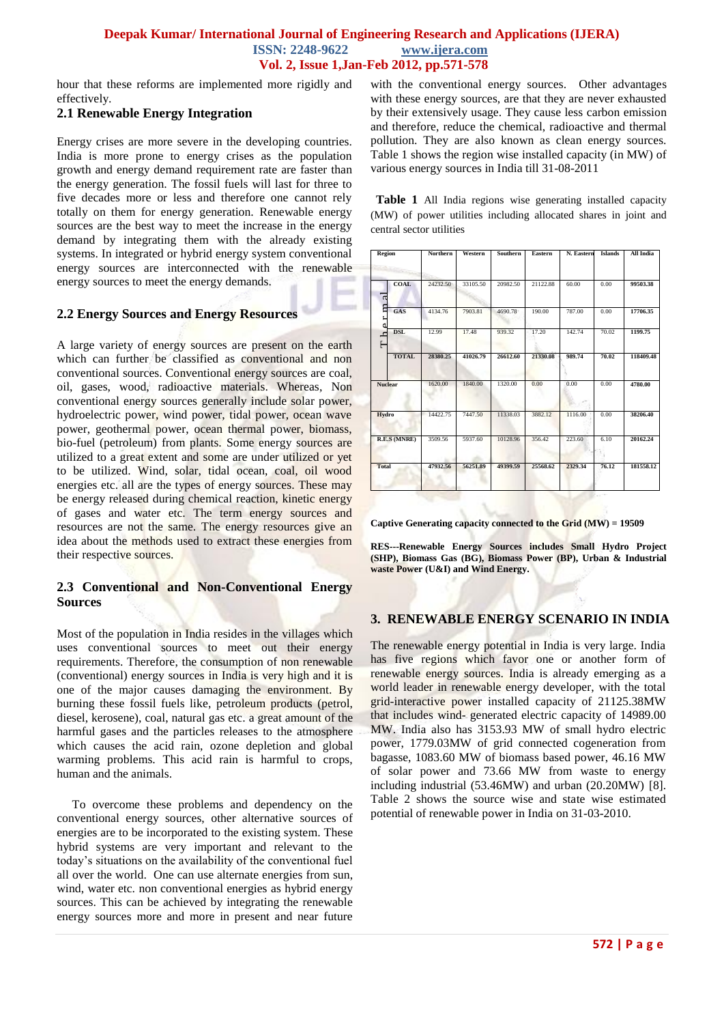hour that these reforms are implemented more rigidly and effectively.

## **2.1 Renewable Energy Integration**

Energy crises are more severe in the developing countries. India is more prone to energy crises as the population growth and energy demand requirement rate are faster than the energy generation. The fossil fuels will last for three to five decades more or less and therefore one cannot rely totally on them for energy generation. Renewable energy sources are the best way to meet the increase in the energy demand by integrating them with the already existing systems. In integrated or hybrid energy system conventional energy sources are interconnected with the renewable energy sources to meet the energy demands.

# **2.2 Energy Sources and Energy Resources**

A large variety of energy sources are present on the earth which can further be classified as conventional and non conventional sources. Conventional energy sources are coal, oil, gases, wood, radioactive materials. Whereas, Non conventional energy sources generally include solar power, hydroelectric power, wind power, tidal power, ocean wave power, geothermal power, ocean thermal power, biomass, bio-fuel (petroleum) from plants. Some energy sources are utilized to a great extent and some are under utilized or yet to be utilized. Wind, solar, tidal ocean, coal, oil wood energies etc. all are the types of energy sources. These may be energy released during chemical reaction, kinetic energy of gases and water etc. The term energy sources and resources are not the same. The energy resources give an idea about the methods used to extract these energies from their respective sources.

# **2.3 Conventional and Non-Conventional Energy Sources**

Most of the population in India resides in the villages which uses conventional sources to meet out their energy requirements. Therefore, the consumption of non renewable (conventional) energy sources in India is very high and it is one of the major causes damaging the environment. By burning these fossil fuels like, petroleum products (petrol, diesel, kerosene), coal, natural gas etc. a great amount of the harmful gases and the particles releases to the atmosphere which causes the acid rain, ozone depletion and global warming problems. This acid rain is harmful to crops, human and the animals.

 To overcome these problems and dependency on the conventional energy sources, other alternative sources of energies are to be incorporated to the existing system. These hybrid systems are very important and relevant to the today's situations on the availability of the conventional fuel all over the world. One can use alternate energies from sun, wind, water etc. non conventional energies as hybrid energy sources. This can be achieved by integrating the renewable energy sources more and more in present and near future

with the conventional energy sources. Other advantages with these energy sources, are that they are never exhausted by their extensively usage. They cause less carbon emission and therefore, reduce the chemical, radioactive and thermal pollution. They are also known as clean energy sources. Table 1 shows the region wise installed capacity (in MW) of various energy sources in India till 31-08-2011

 **Table 1** All India regions wise generating installed capacity (MW) of power utilities including allocated shares in joint and central sector utilities

| Region                                  | <b>Northern</b> | Western  | Southern | Eastern  | N. Eastern | <b>Islands</b> | All India |
|-----------------------------------------|-----------------|----------|----------|----------|------------|----------------|-----------|
|                                         |                 |          |          |          |            |                |           |
| <b>COAL</b><br>$\overline{a}$           | 24232.50        | 33105.50 | 20982.50 | 21122.88 | 60.00      | 0.00           | 99503.38  |
| ε<br>GAS                                | 4134.76         | 7903.81  | 4690.78  | 190.00   | 787.00     | 0.00           | 17706.35  |
| <b>DSL</b><br>$\mathbf{r}^{\mathbf{d}}$ | 12.99           | 17.48    | 939.32   | 17.20    | 142.74     | 70.02          | 1199.75   |
| <b>TOTAL</b>                            | 28380.25        | 41026.79 | 26612.60 | 21330.08 | 989.74     | 70.02          | 118409.48 |
| <b>Nuclear</b>                          | 1620.00         | 1840.00  | 1320.00  | 0.00     | 0.00       | 0.00           | 4780.00   |
| Hydro                                   | 14422.75        | 7447.50  | 11338.03 | 3882.12  | 1116.00    | 0.00           | 38206.40  |
| <b>R.E.S (MNRE)</b>                     | 3509.56         | 5937.60  | 10128.96 | 356.42   | 223.60     | 6.10           | 20162.24  |
| <b>Total</b>                            | 47932.56        | 56251.89 | 49399.59 | 25568.62 | 2329.34    | 76.12          | 181558.12 |
|                                         |                 |          |          |          |            |                |           |

**Captive Generating capacity connected to the Grid (MW) = 19509**

**RES---Renewable Energy Sources includes Small Hydro Project (SHP), Biomass Gas (BG), Biomass Power (BP), Urban & Industrial waste Power (U&I) and Wind Energy.**

# **3. RENEWABLE ENERGY SCENARIO IN INDIA**

The renewable energy potential in India is very large. India has five regions which favor one or another form of renewable energy sources. India is already emerging as a world leader in renewable energy developer, with the total grid-interactive power installed capacity of 21125.38MW that includes wind- generated electric capacity of 14989.00 MW. India also has 3153.93 MW of small hydro electric power, 1779.03MW of grid connected cogeneration from bagasse, 1083.60 MW of biomass based power, 46.16 MW of solar power and 73.66 MW from waste to energy including industrial (53.46MW) and urban (20.20MW) [8]. Table 2 shows the source wise and state wise estimated potential of renewable power in India on 31-03-2010.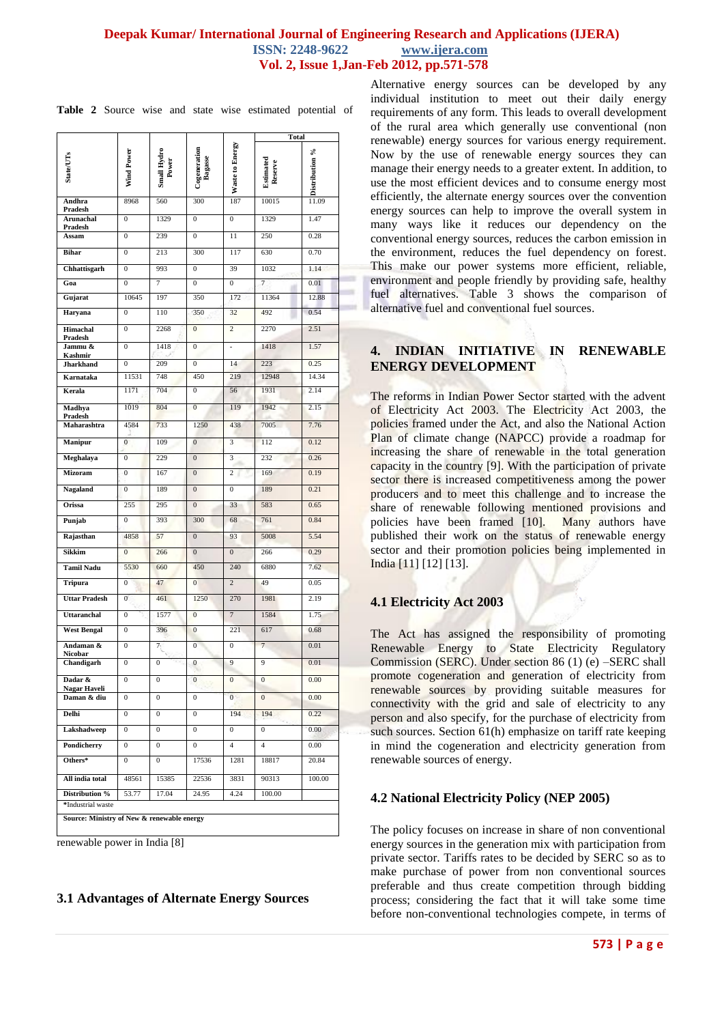|                                            |                                                               |                  |                        |                      | Total                                         |               |  |
|--------------------------------------------|---------------------------------------------------------------|------------------|------------------------|----------------------|-----------------------------------------------|---------------|--|
| $\mbox{StateUTs}$                          | Cogeneration<br>Bagasse<br>Small Hydro<br>Power<br>Wind Power |                  | <b>Waste to Energy</b> | Estimated<br>Reserve | $\frac{\text{Distribution 96}}{\text{11.09}}$ |               |  |
| Andhra<br>Pradesh                          | 8968                                                          | 560              | 300                    | 187                  | 10015                                         |               |  |
| <b>Arunachal</b><br>Pradesh                | $\overline{0}$                                                | 1329             | $\mathbf{0}$           | $\overline{0}$       | 1329                                          | 1.47          |  |
| Assam                                      | $\boldsymbol{0}$                                              | 239              | $\overline{0}$         | 11                   | 250                                           | 0.28          |  |
| <b>Bihar</b>                               | $\overline{0}$                                                | 213              | 300                    | 117                  | 630                                           | 0.70          |  |
| Chhattisgarh                               | $\boldsymbol{0}$                                              | 993              | $\boldsymbol{0}$       | 39                   | 1032                                          | 1.14          |  |
| Goa                                        | $\overline{0}$                                                | 7                | $\overline{0}$         | $\overline{0}$       | 7                                             | 0.01          |  |
| Gujarat                                    | 10645                                                         | 197              | 350                    | 172                  | 11364                                         | 12.88         |  |
| Haryana                                    | $\overline{0}$                                                | 110              | 350                    | 32                   | 492                                           | 0.54          |  |
| <b>Himachal</b><br>Pradesh                 | $\overline{0}$                                                | 2268             | $\overline{0}$         | $\overline{2}$       | 2270                                          | 2.51          |  |
| Jammu &<br>Kashmir                         | $\mathbf{0}$                                                  | 1418             | $\mathbf{0}$           | $\overline{a}$       | 1418                                          | 1.57          |  |
| <b>Jharkhand</b>                           | $\mathbf{0}$                                                  | 209              | $\overline{0}$         | 14                   | 223                                           | 0.25          |  |
| Karnataka                                  | 11531<br>1171                                                 | 748<br>704       | 450                    | 219<br>56            | 12948<br>1931                                 | 14.34<br>2.14 |  |
| Kerala                                     |                                                               |                  | $\mathbf{0}$           |                      |                                               |               |  |
| Madhya<br>Pradesh                          | 1019                                                          | 804              | $\overline{0}$         | 119                  | 1942                                          | 2.15          |  |
| Maharashtra                                | 4584                                                          | 733              | 1250                   | 438                  | 7005                                          | 7.76          |  |
| <b>Manipur</b>                             | $\overline{0}$                                                | 109              | $\overline{0}$         | 3                    | 112                                           | 0.12          |  |
| Meghalaya                                  | $\overline{0}$                                                | 229              | $\overline{0}$         | 3                    | 232                                           | 0.26          |  |
| <b>Mizoram</b>                             | $\overline{0}$                                                | 167              | $\boldsymbol{0}$       | $\overline{2}$       | 169                                           | 0.19          |  |
| <b>Nagaland</b>                            | $\overline{0}$                                                | 189              | $\overline{0}$         | $\mathbf{0}$         | 189                                           | 0.21          |  |
| Orissa                                     | 255                                                           | 295              | $\overline{0}$         | 33                   | 583                                           | 0.65          |  |
| Punjab                                     | $\mathbf{0}$                                                  | 393              | 300                    | 68                   | 761                                           | 0.84          |  |
| Rajasthan                                  | 4858                                                          | 57               | $\overline{0}$         | 93                   | 5008                                          | 5.54          |  |
| Sikkim                                     | $\overline{0}$                                                | 266              | $\overline{0}$         | $\overline{0}$       | 266                                           | 0.29          |  |
| <b>Tamil Nadu</b>                          | 5530                                                          | 660              | 450                    | 240                  | 6880                                          | 7.62          |  |
| <b>Tripura</b>                             | $\boldsymbol{0}$                                              | 47               | $\overline{0}$         | $\overline{2}$       | 49                                            | 0.05          |  |
| <b>Uttar Pradesh</b>                       | $\overline{0}$                                                | 461              | 1250                   | 270                  | 1981                                          | 2.19          |  |
| <b>Uttaranchal</b>                         | $\overline{0}$                                                | 1577             | $\overline{0}$         | $\overline{7}$       | 1584                                          | 1.75          |  |
| <b>West Bengal</b>                         | $\bf{0}$                                                      | 396              | $\bf{0}$               | 221                  | 617                                           | 0.68          |  |
| Andaman &<br>Nicobar                       | $\overline{0}$                                                | 7                | $\overline{0}$         | $\mathbf{0}$         | $\overline{7}$                                | 0.01          |  |
| Chandigarh                                 | $\bf{0}$                                                      | $\boldsymbol{0}$ | $\boldsymbol{0}$       | 9                    | 9                                             | 0.01          |  |
| Dadar &                                    | 0                                                             | 0                | 0                      | $\boldsymbol{0}$     | $\boldsymbol{0}$                              | 0.00          |  |
| Nagar Haveli<br>Daman & diu                | 0                                                             | $\boldsymbol{0}$ | $\boldsymbol{0}$       | $0 -$                | $\mathbf{0}$                                  | 0.00          |  |
| Delhi                                      | $\boldsymbol{0}$                                              | 0                | $\boldsymbol{0}$       | 194                  | 194                                           | 0.22          |  |
| Lakshadweep                                | 0                                                             | 0                | 0                      | 0                    | 0                                             | 0.00          |  |
| Pondicherry                                | 0                                                             | $\boldsymbol{0}$ | $\boldsymbol{0}$       | 4                    | $\overline{4}$                                | 0.00          |  |
| Others*                                    | $\mathbf{0}$                                                  | $\mathbf{0}$     | 17536                  | 1281                 | 18817                                         | 20.84         |  |
| All india total                            | 48561                                                         | 15385            | 22536                  | 3831                 | 90313                                         | 100.00        |  |
| Distribution %                             | 53.77                                                         | 17.04            | 24.95                  | 4.24                 | 100.00                                        |               |  |
| *Industrial waste                          |                                                               |                  |                        |                      |                                               |               |  |
| Source: Ministry of New & renewable energy |                                                               |                  |                        |                      |                                               |               |  |

**Table 2** Source wise and state wise estimated potential of

renewable power in India [8]

### **3.1 Advantages of Alternate Energy Sources**

Alternative energy sources can be developed by any individual institution to meet out their daily energy requirements of any form. This leads to overall development of the rural area which generally use conventional (non renewable) energy sources for various energy requirement. Now by the use of renewable energy sources they can manage their energy needs to a greater extent. In addition, to use the most efficient devices and to consume energy most efficiently, the alternate energy sources over the convention energy sources can help to improve the overall system in many ways like it reduces our dependency on the conventional energy sources, reduces the carbon emission in the environment, reduces the fuel dependency on forest. This make our power systems more efficient, reliable, environment and people friendly by providing safe, healthy fuel alternatives. Table 3 shows the comparison of alternative fuel and conventional fuel sources.

# **4. INDIAN INITIATIVE IN RENEWABLE ENERGY DEVELOPMENT**

The reforms in Indian Power Sector started with the advent of Electricity Act 2003. The Electricity Act 2003, the policies framed under the Act, and also the National Action Plan of climate change (NAPCC) provide a roadmap for increasing the share of renewable in the total generation capacity in the country [9]. With the participation of private sector there is increased competitiveness among the power producers and to meet this challenge and to increase the share of renewable following mentioned provisions and policies have been framed [10]. Many authors have published their work on the status of renewable energy sector and their promotion policies being implemented in India [11] [12] [13].

#### **4.1 Electricity Act 2003**

The Act has assigned the responsibility of promoting Renewable Energy to State Electricity Regulatory Commission (SERC). Under section 86 (1) (e) –SERC shall promote cogeneration and generation of electricity from renewable sources by providing suitable measures for connectivity with the grid and sale of electricity to any person and also specify, for the purchase of electricity from such sources. Section 61(h) emphasize on tariff rate keeping in mind the cogeneration and electricity generation from renewable sources of energy.

#### **4.2 National Electricity Policy (NEP 2005)**

The policy focuses on increase in share of non conventional energy sources in the generation mix with participation from private sector. Tariffs rates to be decided by SERC so as to make purchase of power from non conventional sources preferable and thus create competition through bidding process; considering the fact that it will take some time before non-conventional technologies compete, in terms of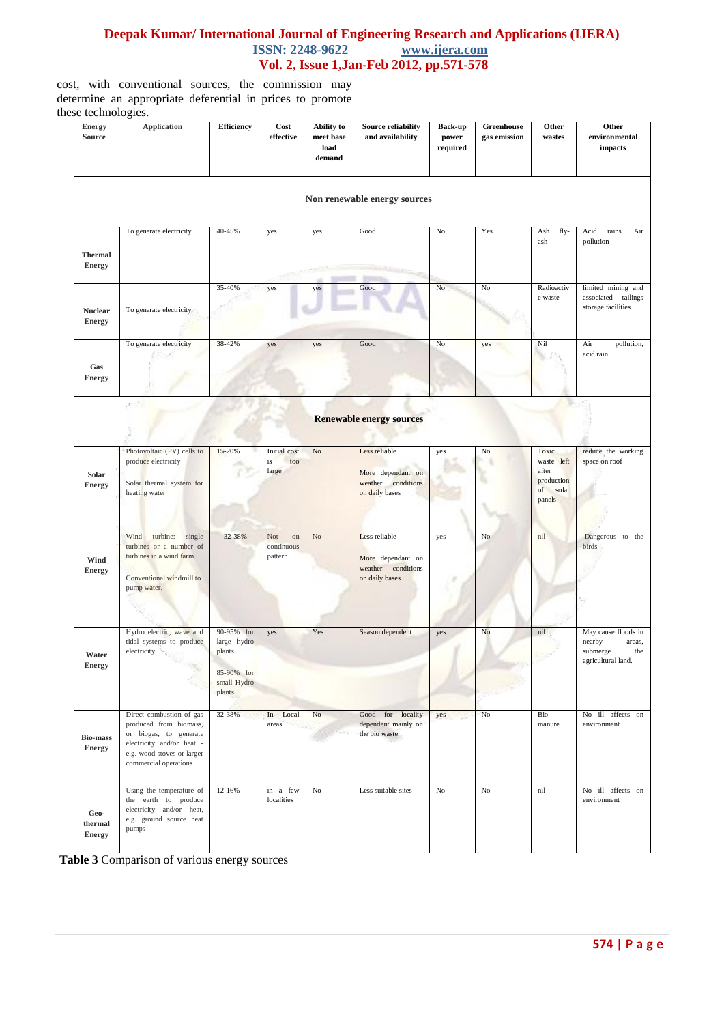cost, with conventional sources, the commission may determine an appropriate deferential in prices to promote these technologies.

| <b>Energy</b><br><b>Source</b>   | <b>Application</b>                                                                                                                                               | <b>Efficiency</b>                                                           | Cost<br>effective                  | Ability to<br>meet base<br>load<br>demand | Source reliability<br>and availability                                     | Back-up<br>power<br>required | Greenhouse<br>gas emission | Other<br>wastes                                                  | Other<br>environmental<br>impacts                                                |
|----------------------------------|------------------------------------------------------------------------------------------------------------------------------------------------------------------|-----------------------------------------------------------------------------|------------------------------------|-------------------------------------------|----------------------------------------------------------------------------|------------------------------|----------------------------|------------------------------------------------------------------|----------------------------------------------------------------------------------|
|                                  |                                                                                                                                                                  |                                                                             |                                    |                                           | Non renewable energy sources                                               |                              |                            |                                                                  |                                                                                  |
| <b>Thermal</b><br><b>Energy</b>  | To generate electricity                                                                                                                                          | 40-45%                                                                      | yes                                | yes                                       | Good                                                                       | No                           | Yes                        | fly-<br>Ash<br>ash                                               | Acid<br>Air<br>rains.<br>pollution                                               |
| <b>Nuclear</b><br><b>Energy</b>  | To generate electricity                                                                                                                                          | 35-40%                                                                      | yes                                | yes                                       | Good                                                                       | $\rm No$                     | No                         | Radioactiv<br>e waste                                            | limited mining and<br>associated tailings<br>storage facilities                  |
| Gas<br><b>Energy</b>             | To generate electricity                                                                                                                                          | 38-42%                                                                      | yes                                | yes                                       | Good                                                                       | No                           | yes                        | Nil                                                              | Air<br>pollution,<br>acid rain                                                   |
|                                  |                                                                                                                                                                  |                                                                             |                                    |                                           | <b>Renewable energy sources</b>                                            |                              |                            |                                                                  |                                                                                  |
| Solar<br><b>Energy</b>           | Photovoltaic (PV) cells to<br>produce electricity<br>Solar thermal system for<br>heating water                                                                   | 15-20%                                                                      | Initial cost<br>is<br>too<br>large | N <sub>o</sub>                            | Less reliable<br>More dependant on<br>weather conditions<br>on daily bases | yes                          | $\rm No$                   | Toxic<br>waste left<br>after<br>production<br>of solar<br>panels | reduce the working<br>space on roof                                              |
| Wind<br><b>Energy</b>            | Wind<br>turbine:<br>single<br>turbines or a number of<br>turbines in a wind farm.<br>Conventional windmill to<br>pump water.                                     | 32-38%                                                                      | Not<br>on<br>continuous<br>pattern | N <sub>o</sub>                            | Less reliable<br>More dependant on<br>weather conditions<br>on daily bases | yes                          | No                         | nil                                                              | Dangerous to the<br>birds                                                        |
| Water<br><b>Energy</b>           | Hydro electric, wave and<br>tidal systems to produce<br>electricity                                                                                              | 90-95% for<br>large hydro<br>plants.<br>85-90% for<br>small Hydro<br>plants | yes                                | Yes                                       | Season dependent                                                           | yes                          | No                         | nil                                                              | May cause floods in<br>nearby<br>areas,<br>submerge<br>the<br>agricultural land. |
| <b>Bio-mass</b><br><b>Energy</b> | Direct combustion of gas<br>produced from biomass,<br>or biogas, to generate<br>electricity and/or heat -<br>e.g. wood stoves or larger<br>commercial operations | 32-38%                                                                      | In Local<br>areas                  | $\rm No$                                  | Good for locality<br>dependent mainly on<br>the bio waste                  | yes                          | $\rm No$                   | Bio<br>manure                                                    | No ill affects on<br>environment                                                 |
| Geo-<br>thermal<br><b>Energy</b> | Using the temperature of<br>the earth to produce<br>electricity and/or heat,<br>e.g. ground source heat<br>pumps                                                 | 12-16%                                                                      | in a few<br>localities             | No                                        | Less suitable sites                                                        | No                           | No                         | nil                                                              | No ill affects on<br>environment                                                 |

 **Table 3** Comparison of various energy sources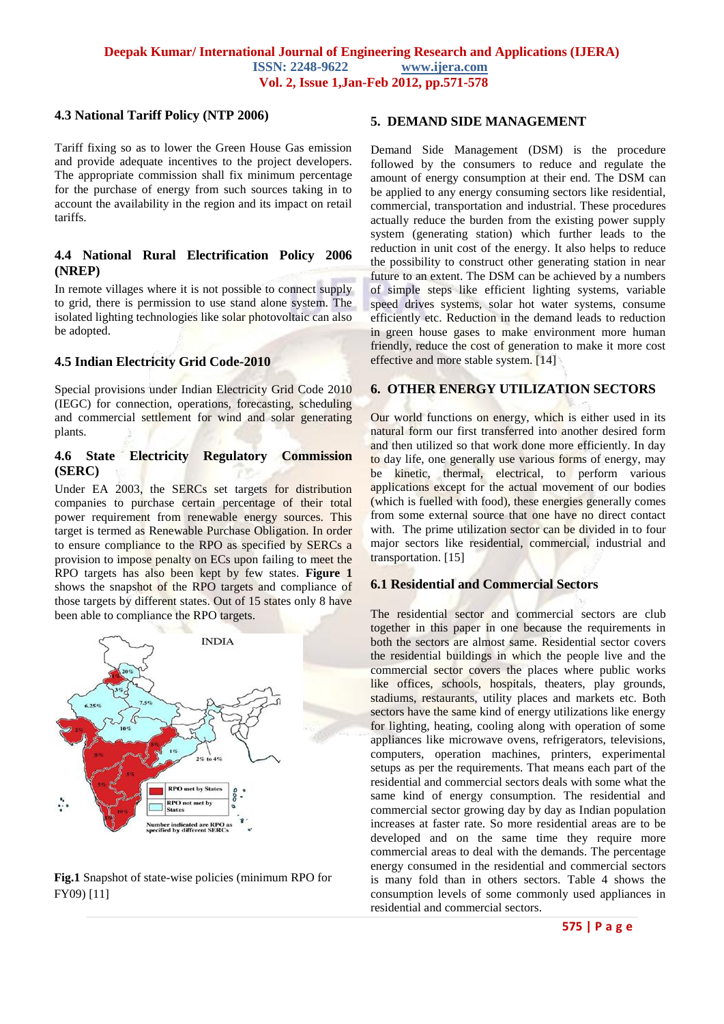# **4.3 National Tariff Policy (NTP 2006)**

Tariff fixing so as to lower the Green House Gas emission and provide adequate incentives to the project developers. The appropriate commission shall fix minimum percentage for the purchase of energy from such sources taking in to account the availability in the region and its impact on retail tariffs.

# **4.4 National Rural Electrification Policy 2006 (NREP)**

In remote villages where it is not possible to connect supply to grid, there is permission to use stand alone system. The isolated lighting technologies like solar photovoltaic can also be adopted.

#### **4.5 Indian Electricity Grid Code-2010**

Special provisions under Indian Electricity Grid Code 2010 (IEGC) for connection, operations, forecasting, scheduling and commercial settlement for wind and solar generating plants.

## **4.6 State Electricity Regulatory Commission (SERC)**

Under EA 2003, the SERCs set targets for distribution companies to purchase certain percentage of their total power requirement from renewable energy sources. This target is termed as Renewable Purchase Obligation. In order to ensure compliance to the RPO as specified by SERCs a provision to impose penalty on ECs upon failing to meet the RPO targets has also been kept by few states. **Figure 1** shows the snapshot of the RPO targets and compliance of those targets by different states. Out of 15 states only 8 have been able to compliance the RPO targets.



# **Fig.1** Snapshot of state-wise policies (minimum RPO for FY09) [11]

# **5. DEMAND SIDE MANAGEMENT**

Demand Side Management (DSM) is the procedure followed by the consumers to reduce and regulate the amount of energy consumption at their end. The DSM can be applied to any energy consuming sectors like residential, commercial, transportation and industrial. These procedures actually reduce the burden from the existing power supply system (generating station) which further leads to the reduction in unit cost of the energy. It also helps to reduce the possibility to construct other generating station in near future to an extent. The DSM can be achieved by a numbers of simple steps like efficient lighting systems, variable speed drives systems, solar hot water systems, consume efficiently etc. Reduction in the demand leads to reduction in green house gases to make environment more human friendly, reduce the cost of generation to make it more cost effective and more stable system. [14]

#### **6. OTHER ENERGY UTILIZATION SECTORS**

Our world functions on energy, which is either used in its natural form our first transferred into another desired form and then utilized so that work done more efficiently. In day to day life, one generally use various forms of energy, may be kinetic, thermal, electrical, to perform various applications except for the actual movement of our bodies (which is fuelled with food), these energies generally comes from some external source that one have no direct contact with. The prime utilization sector can be divided in to four major sectors like residential, commercial, industrial and transportation. [15]

# **6.1 Residential and Commercial Sectors**

The residential sector and commercial sectors are club together in this paper in one because the requirements in both the sectors are almost same. Residential sector covers the residential buildings in which the people live and the commercial sector covers the places where public works like offices, schools, hospitals, theaters, play grounds, stadiums, restaurants, utility places and markets etc. Both sectors have the same kind of energy utilizations like energy for lighting, heating, cooling along with operation of some appliances like microwave ovens, refrigerators, televisions, computers, operation machines, printers, experimental setups as per the requirements. That means each part of the residential and commercial sectors deals with some what the same kind of energy consumption. The residential and commercial sector growing day by day as Indian population increases at faster rate. So more residential areas are to be developed and on the same time they require more commercial areas to deal with the demands. The percentage energy consumed in the residential and commercial sectors is many fold than in others sectors. Table 4 shows the consumption levels of some commonly used appliances in residential and commercial sectors.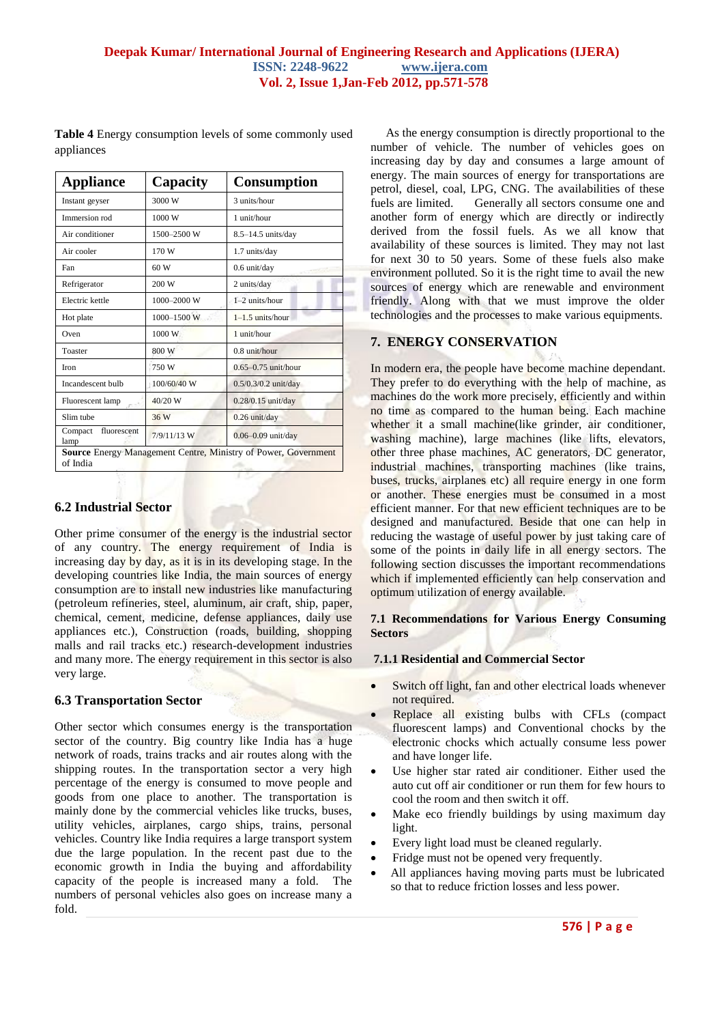**Table 4** Energy consumption levels of some commonly used appliances

| <b>Appliance</b>               | Capacity      | <b>Consumption</b>                                             |  |  |
|--------------------------------|---------------|----------------------------------------------------------------|--|--|
| Instant geyser                 | 3000 W        | 3 units/hour                                                   |  |  |
| Immersion rod                  | 1000 W        | 1 unit/hour                                                    |  |  |
| Air conditioner                | 1500-2500 W   | $8.5 - 14.5$ units/day                                         |  |  |
| Air cooler                     | 170 W         | 1.7 units/day                                                  |  |  |
| Fan                            | 60 W          | $0.6$ unit/day                                                 |  |  |
| Refrigerator                   | 200 W         | 2 units/day                                                    |  |  |
| Electric kettle                | 1000-2000 W   | 1-2 units/hour                                                 |  |  |
| Hot plate                      | 1000-1500 W   | $1-1.5$ units/hour                                             |  |  |
| Oven                           | 1000 W        | 1 unit/hour                                                    |  |  |
| Toaster                        | 800 W         | $0.8$ unit/hour                                                |  |  |
| <b>Iron</b>                    | 750W          | $0.65 - 0.75$ unit/hour                                        |  |  |
| Incandescent bulb              | 100/60/40 W   | $0.5/0.3/0.2$ unit/day                                         |  |  |
| Fluorescent lamp               | 40/20 W       | $0.28/0.15$ unit/day                                           |  |  |
| Slim tube                      | 36 W          | $0.26$ unit/day                                                |  |  |
| fluorescent<br>Compact<br>lamp | $7/9/11/13$ W | $0.06 - 0.09$ unit/day                                         |  |  |
| of India                       |               | Source Energy Management Centre, Ministry of Power, Government |  |  |

# **6.2 Industrial Sector**

Other prime consumer of the energy is the industrial sector of any country. The energy requirement of India is increasing day by day, as it is in its developing stage. In the developing countries like India, the main sources of energy consumption are to install new industries like manufacturing (petroleum refineries, steel, aluminum, air craft, ship, paper, chemical, cement, medicine, defense appliances, daily use appliances etc.), Construction (roads, building, shopping malls and rail tracks etc.) research-development industries and many more. The energy requirement in this sector is also very large.

# **6.3 Transportation Sector**

Other sector which consumes energy is the transportation sector of the country. Big country like India has a huge network of roads, trains tracks and air routes along with the shipping routes. In the transportation sector a very high percentage of the energy is consumed to move people and goods from one place to another. The transportation is mainly done by the commercial vehicles like trucks, buses, utility vehicles, airplanes, cargo ships, trains, personal vehicles. Country like India requires a large transport system due the large population. In the recent past due to the economic growth in India the buying and affordability capacity of the people is increased many a fold. The numbers of personal vehicles also goes on increase many a fold.

 As the energy consumption is directly proportional to the number of vehicle. The number of vehicles goes on increasing day by day and consumes a large amount of energy. The main sources of energy for transportations are petrol, diesel, coal, LPG, CNG. The availabilities of these fuels are limited. Generally all sectors consume one and another form of energy which are directly or indirectly derived from the fossil fuels. As we all know that availability of these sources is limited. They may not last for next 30 to 50 years. Some of these fuels also make environment polluted. So it is the right time to avail the new sources of energy which are renewable and environment friendly. Along with that we must improve the older technologies and the processes to make various equipments.

# **7. ENERGY CONSERVATION**

In modern era, the people have become machine dependant. They prefer to do everything with the help of machine, as machines do the work more precisely, efficiently and within no time as compared to the human being. Each machine whether it a small machine(like grinder, air conditioner, washing machine), large machines (like lifts, elevators, other three phase machines, AC generators, DC generator, industrial machines, transporting machines (like trains, buses, trucks, airplanes etc) all require energy in one form or another. These energies must be consumed in a most efficient manner. For that new efficient techniques are to be designed and manufactured. Beside that one can help in reducing the wastage of useful power by just taking care of some of the points in daily life in all energy sectors. The following section discusses the important recommendations which if implemented efficiently can help conservation and optimum utilization of energy available.

#### **7.1 Recommendations for Various Energy Consuming Sectors**

#### **7.1.1 Residential and Commercial Sector**

- Switch off light, fan and other electrical loads whenever not required.
- Replace all existing bulbs with CFLs (compact fluorescent lamps) and Conventional chocks by the electronic chocks which actually consume less power and have longer life.
- Use higher star rated air conditioner. Either used the auto cut off air conditioner or run them for few hours to cool the room and then switch it off.
- Make eco friendly buildings by using maximum day light.
- Every light load must be cleaned regularly.
- Fridge must not be opened very frequently.
- All appliances having moving parts must be lubricated so that to reduce friction losses and less power.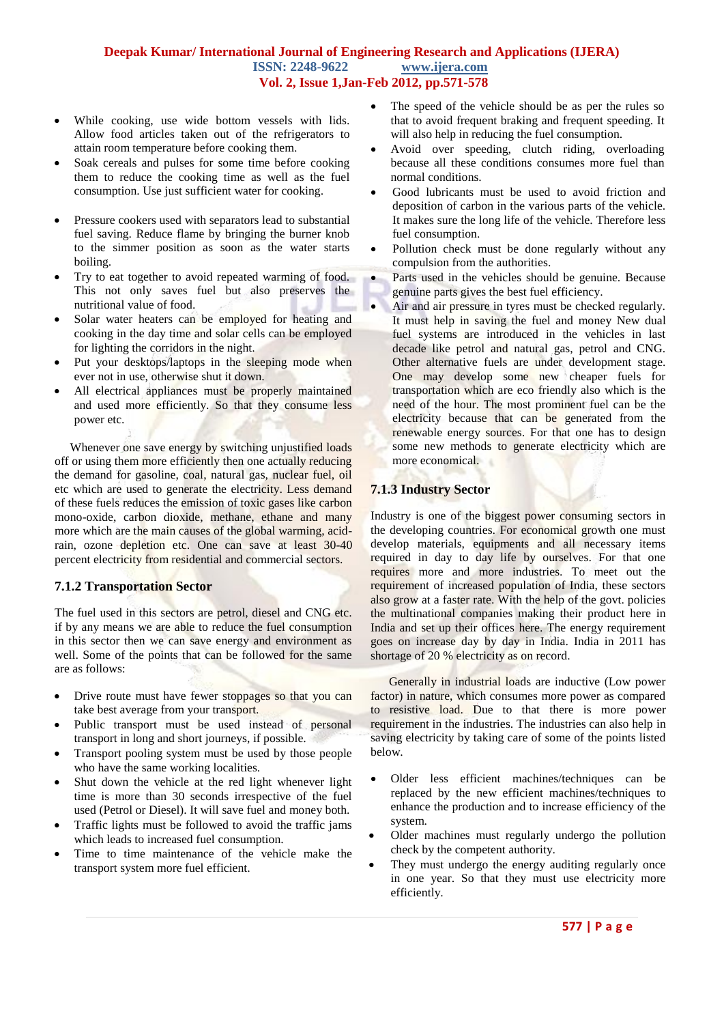- While cooking, use wide bottom vessels with lids. Allow food articles taken out of the refrigerators to attain room temperature before cooking them.
- Soak cereals and pulses for some time before cooking them to reduce the cooking time as well as the fuel consumption. Use just sufficient water for cooking.
- Pressure cookers used with separators lead to substantial fuel saving. Reduce flame by bringing the burner knob to the simmer position as soon as the water starts boiling.
- Try to eat together to avoid repeated warming of food. This not only saves fuel but also preserves the nutritional value of food.
- Solar water heaters can be employed for heating and cooking in the day time and solar cells can be employed for lighting the corridors in the night.
- Put your desktops/laptops in the sleeping mode when ever not in use, otherwise shut it down.
- All electrical appliances must be properly maintained and used more efficiently. So that they consume less power etc.

Whenever one save energy by switching unjustified loads off or using them more efficiently then one actually reducing the demand for gasoline, coal, natural gas, nuclear fuel, oil etc which are used to generate the electricity. Less demand of these fuels reduces the emission of toxic gases like carbon mono-oxide, carbon dioxide, methane, ethane and many more which are the main causes of the global warming, acidrain, ozone depletion etc. One can save at least 30-40 percent electricity from residential and commercial sectors.

#### **7.1.2 Transportation Sector**

The fuel used in this sectors are petrol, diesel and CNG etc. if by any means we are able to reduce the fuel consumption in this sector then we can save energy and environment as well. Some of the points that can be followed for the same are as follows:

- Drive route must have fewer stoppages so that you can take best average from your transport.
- Public transport must be used instead of personal transport in long and short journeys, if possible.
- Transport pooling system must be used by those people who have the same working localities.
- Shut down the vehicle at the red light whenever light time is more than 30 seconds irrespective of the fuel used (Petrol or Diesel). It will save fuel and money both.
- Traffic lights must be followed to avoid the traffic jams which leads to increased fuel consumption.
- Time to time maintenance of the vehicle make the transport system more fuel efficient.
- The speed of the vehicle should be as per the rules so that to avoid frequent braking and frequent speeding. It will also help in reducing the fuel consumption.
- Avoid over speeding, clutch riding, overloading because all these conditions consumes more fuel than normal conditions.
- Good lubricants must be used to avoid friction and deposition of carbon in the various parts of the vehicle. It makes sure the long life of the vehicle. Therefore less fuel consumption.
- Pollution check must be done regularly without any compulsion from the authorities.
- Parts used in the vehicles should be genuine. Because genuine parts gives the best fuel efficiency.
- Air and air pressure in tyres must be checked regularly. It must help in saving the fuel and money New dual fuel systems are introduced in the vehicles in last decade like petrol and natural gas, petrol and CNG. Other alternative fuels are under development stage. One may develop some new cheaper fuels for transportation which are eco friendly also which is the need of the hour. The most prominent fuel can be the electricity because that can be generated from the renewable energy sources. For that one has to design some new methods to generate electricity which are more economical.

#### **7.1.3 Industry Sector**

Industry is one of the biggest power consuming sectors in the developing countries. For economical growth one must develop materials, equipments and all necessary items required in day to day life by ourselves. For that one requires more and more industries. To meet out the requirement of increased population of India, these sectors also grow at a faster rate. With the help of the govt. policies the multinational companies making their product here in India and set up their offices here. The energy requirement goes on increase day by day in India. India in 2011 has shortage of 20 % electricity as on record.

 Generally in industrial loads are inductive (Low power factor) in nature, which consumes more power as compared to resistive load. Due to that there is more power requirement in the industries. The industries can also help in saving electricity by taking care of some of the points listed below.

- Older less efficient machines/techniques can be replaced by the new efficient machines/techniques to enhance the production and to increase efficiency of the system.
- Older machines must regularly undergo the pollution check by the competent authority.
- They must undergo the energy auditing regularly once in one year. So that they must use electricity more efficiently.